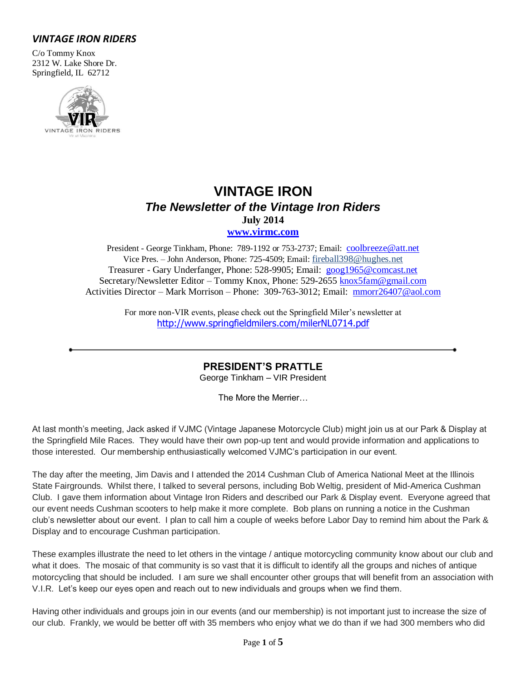## *VINTAGE IRON RIDERS*

C/o Tommy Knox 2312 W. Lake Shore Dr. Springfield, IL 62712



# **VINTAGE IRON** *The Newsletter of the Vintage Iron Riders* **July 2014 [www.virmc.com](http://www.virmc.com/)**

President - George Tinkham, Phone: 789-1192 or 753-2737; Email: [coolbreeze@att.net](mailto:coolbreeze@att.net) Vice Pres. – John Anderson, Phone: 725-4509; Email: fireball398@hughes.net Treasurer - Gary Underfanger, Phone: 528-9905; Email: [goog1965@comcast.net](mailto:goog1965@comcast.net) Secretary/Newsletter Editor – Tommy Knox, Phone: 529-2655 [knox5fam@gmail.com](mailto:knox5fam@gmail.com) Activities Director – Mark Morrison – Phone: 309-763-3012; Email: [mmorr26407@aol.com](mailto:mmorr26407@aol.com)

> For more non-VIR events, please check out the Springfield Miler's newsletter at [http://www.springfieldmilers.com/milerNL0714.pdf](http://www.springfieldmilers.com/milerNL0113.pdf)

> > **PRESIDENT'S PRATTLE**

George Tinkham – VIR President

The More the Merrier…

At last month's meeting, Jack asked if VJMC (Vintage Japanese Motorcycle Club) might join us at our Park & Display at the Springfield Mile Races. They would have their own pop-up tent and would provide information and applications to those interested. Our membership enthusiastically welcomed VJMC's participation in our event.

The day after the meeting, Jim Davis and I attended the 2014 Cushman Club of America National Meet at the Illinois State Fairgrounds. Whilst there, I talked to several persons, including Bob Weltig, president of Mid-America Cushman Club. I gave them information about Vintage Iron Riders and described our Park & Display event. Everyone agreed that our event needs Cushman scooters to help make it more complete. Bob plans on running a notice in the Cushman club's newsletter about our event. I plan to call him a couple of weeks before Labor Day to remind him about the Park & Display and to encourage Cushman participation.

These examples illustrate the need to let others in the vintage / antique motorcycling community know about our club and what it does. The mosaic of that community is so vast that it is difficult to identify all the groups and niches of antique motorcycling that should be included. I am sure we shall encounter other groups that will benefit from an association with V.I.R. Let's keep our eyes open and reach out to new individuals and groups when we find them.

Having other individuals and groups join in our events (and our membership) is not important just to increase the size of our club. Frankly, we would be better off with 35 members who enjoy what we do than if we had 300 members who did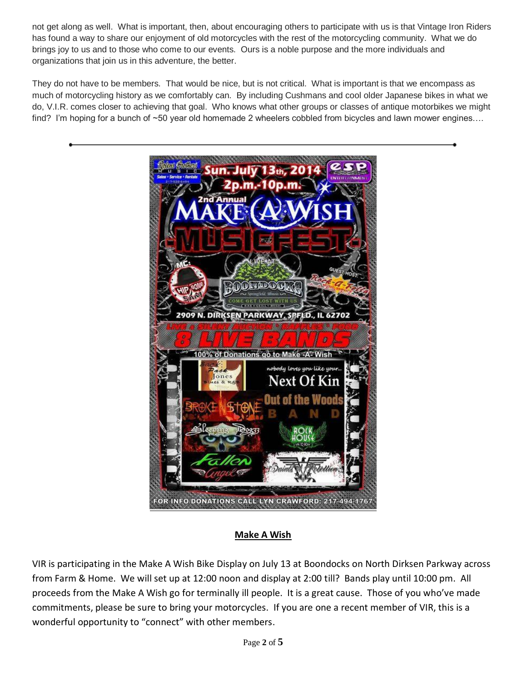not get along as well. What is important, then, about encouraging others to participate with us is that Vintage Iron Riders has found a way to share our enjoyment of old motorcycles with the rest of the motorcycling community. What we do brings joy to us and to those who come to our events. Ours is a noble purpose and the more individuals and organizations that join us in this adventure, the better.

They do not have to be members. That would be nice, but is not critical. What is important is that we encompass as much of motorcycling history as we comfortably can. By including Cushmans and cool older Japanese bikes in what we do, V.I.R. comes closer to achieving that goal. Who knows what other groups or classes of antique motorbikes we might find? I'm hoping for a bunch of ~50 year old homemade 2 wheelers cobbled from bicycles and lawn mower engines....



## **Make A Wish**

VIR is participating in the Make A Wish Bike Display on July 13 at Boondocks on North Dirksen Parkway across from Farm & Home. We will set up at 12:00 noon and display at 2:00 till? Bands play until 10:00 pm. All proceeds from the Make A Wish go for terminally ill people. It is a great cause. Those of you who've made commitments, please be sure to bring your motorcycles. If you are one a recent member of VIR, this is a wonderful opportunity to "connect" with other members.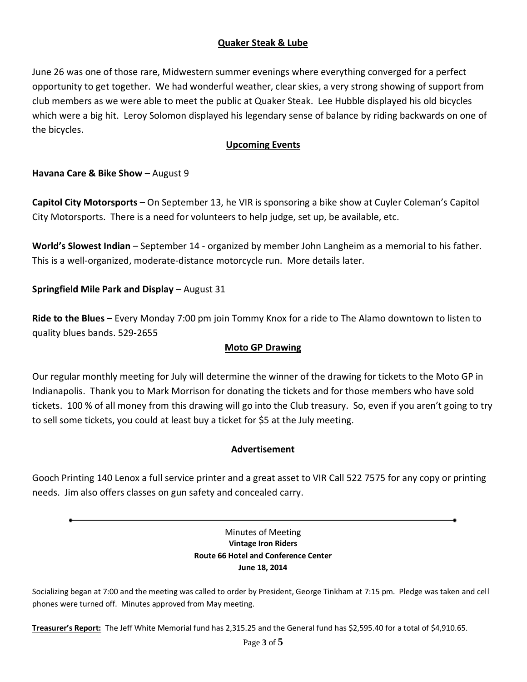## **Quaker Steak & Lube**

June 26 was one of those rare, Midwestern summer evenings where everything converged for a perfect opportunity to get together. We had wonderful weather, clear skies, a very strong showing of support from club members as we were able to meet the public at Quaker Steak. Lee Hubble displayed his old bicycles which were a big hit. Leroy Solomon displayed his legendary sense of balance by riding backwards on one of the bicycles.

## **Upcoming Events**

**Havana Care & Bike Show** – August 9

**Capitol City Motorsports –** On September 13, he VIR is sponsoring a bike show at Cuyler Coleman's Capitol City Motorsports. There is a need for volunteers to help judge, set up, be available, etc.

**World's Slowest Indian** – September 14 - organized by member John Langheim as a memorial to his father. This is a well-organized, moderate-distance motorcycle run. More details later.

**Springfield Mile Park and Display** – August 31

**Ride to the Blues** – Every Monday 7:00 pm join Tommy Knox for a ride to The Alamo downtown to listen to quality blues bands. 529-2655

## **Moto GP Drawing**

Our regular monthly meeting for July will determine the winner of the drawing for tickets to the Moto GP in Indianapolis. Thank you to Mark Morrison for donating the tickets and for those members who have sold tickets. 100 % of all money from this drawing will go into the Club treasury. So, even if you aren't going to try to sell some tickets, you could at least buy a ticket for \$5 at the July meeting.

## **Advertisement**

Gooch Printing 140 Lenox a full service printer and a great asset to VIR Call 522 7575 for any copy or printing needs. Jim also offers classes on gun safety and concealed carry.

### Minutes of Meeting **Vintage Iron Riders Route 66 Hotel and Conference Center June 18, 2014**

Socializing began at 7:00 and the meeting was called to order by President, George Tinkham at 7:15 pm. Pledge was taken and cell phones were turned off. Minutes approved from May meeting.

**Treasurer's Report:** The Jeff White Memorial fund has 2,315.25 and the General fund has \$2,595.40 for a total of \$4,910.65.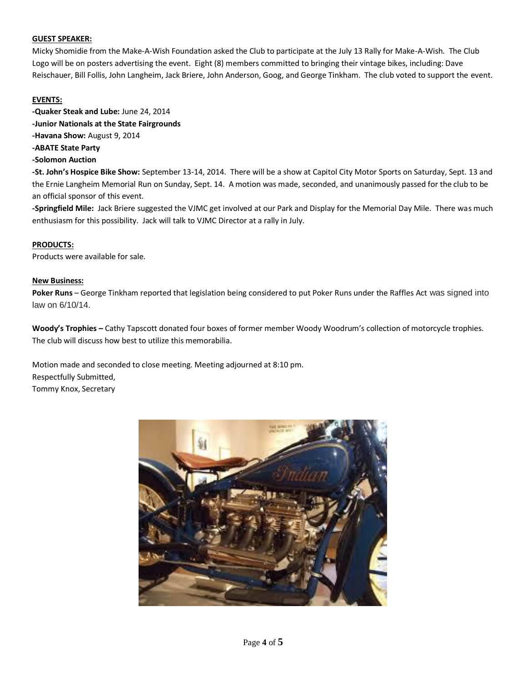### **GUEST SPEAKER:**

Micky Shomidie from the Make-A-Wish Foundation asked the Club to participate at the July 13 Rally for Make-A-Wish. The Club Logo will be on posters advertising the event. Eight (8) members committed to bringing their vintage bikes, including: Dave Reischauer, Bill Follis, John Langheim, Jack Briere, John Anderson, Goog, and George Tinkham. The club voted to support the event.

### **EVENTS:**

**-Quaker Steak and Lube:** June 24, 2014 **-Junior Nationals at the State Fairgrounds -Havana Show:** August 9, 2014

**-ABATE State Party**

### **-Solomon Auction**

**-St. John's Hospice Bike Show:** September 13-14, 2014. There will be a show at Capitol City Motor Sports on Saturday, Sept. 13 and the Ernie Langheim Memorial Run on Sunday, Sept. 14. A motion was made, seconded, and unanimously passed for the club to be an official sponsor of this event.

**-Springfield Mile:** Jack Briere suggested the VJMC get involved at our Park and Display for the Memorial Day Mile. There was much enthusiasm for this possibility. Jack will talk to VJMC Director at a rally in July.

### **PRODUCTS:**

Products were available for sale.

#### **New Business:**

**Poker Runs** – George Tinkham reported that legislation being considered to put Poker Runs under the Raffles Act was signed into law on 6/10/14.

**Woody's Trophies –** Cathy Tapscott donated four boxes of former member Woody Woodrum's collection of motorcycle trophies. The club will discuss how best to utilize this memorabilia.

Motion made and seconded to close meeting. Meeting adjourned at 8:10 pm. Respectfully Submitted, Tommy Knox, Secretary